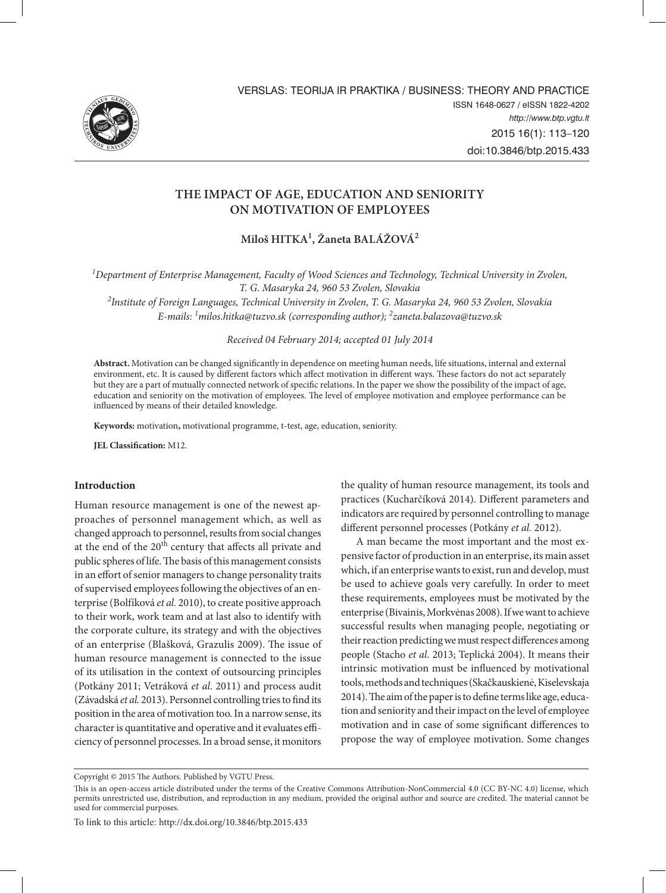

# **The Impact of Age, Education and Seniority on Motivation of Employees**

**Miloš HITKA1 , Žaneta BALÁŽOVÁ2**

<sup>1</sup>Department of Enterprise Management, Faculty of Wood Sciences and Technology, Technical University in Zvolen, *T. G. Masaryka 24, 960 53 Zvolen, Slovakia*

*2 Institute of Foreign Languages, Technical University in Zvolen, T. G. Masaryka 24, 960 53 Zvolen, Slovakia E-mails: 1 milos.hitka@tuzvo.sk (corresponding author); 2 zaneta.balazova@tuzvo.sk*

*Received 04 February 2014; accepted 01 July 2014*

**Abstract.** Motivation can be changed significantly in dependence on meeting human needs, life situations, internal and external environment, etc. It is caused by different factors which affect motivation in different ways. These factors do not act separately but they are a part of mutually connected network of specific relations. In the paper we show the possibility of the impact of age, education and seniority on the motivation of employees. The level of employee motivation and employee performance can be influenced by means of their detailed knowledge.

**Keywords:** motivation**,** motivational programme, t-test, age, education, seniority.

**JEL Classification:** M12.

#### **Introduction**

Human resource management is one of the newest approaches of personnel management which, as well as changed approach to personnel, results from social changes at the end of the  $20<sup>th</sup>$  century that affects all private and public spheres of life. The basis of this management consists in an effort of senior managers to change personality traits of supervised employees following the objectives of an enterprise (Bolfíková *et al.* 2010), to create positive approach to their work, work team and at last also to identify with the corporate culture, its strategy and with the objectives of an enterprise (Blašková, Grazulis 2009). The issue of human resource management is connected to the issue of its utilisation in the context of outsourcing principles (Potkány 2011; Vetráková *et al*. 2011) and process audit (Závadská *et al.* 2013). Personnel controlling tries to find its position in the area of motivation too. In a narrow sense, its character is quantitative and operative and it evaluates efficiency of personnel processes. In a broad sense, it monitors

the quality of human resource management, its tools and practices (Kucharčíková 2014). Different parameters and indicators are required by personnel controlling to manage different personnel processes (Potkány *et al.* 2012).

A man became the most important and the most expensive factor of production in an enterprise, its main asset which, if an enterprise wants to exist, run and develop, must be used to achieve goals very carefully. In order to meet these requirements, employees must be motivated by the enterprise (Bivainis, Morkvėnas 2008). If we want to achieve successful results when managing people, negotiating or their reaction predicting we must respect differences among people (Stacho *et al*. 2013; Teplická 2004). It means their intrinsic motivation must be influenced by motivational tools, methods and techniques (Skačkauskienė, Kiselevskaja 2014). The aim of the paper is to define terms like age, education and seniority and their impact on the level of employee motivation and in case of some significant differences to propose the way of employee motivation. Some changes

To link to this article: http://dx.doi.org/10.3846/btp.2015.433

Copyright © 2015 The Authors. Published by VGTU Press.

This is an open-access article distributed under the terms of the Creative Commons Attribution-NonCommercial 4.0 (CC BY-NC 4.0) license, which permits unrestricted use, distribution, and reproduction in any medium, provided the original author and source are credited. The material cannot be used for commercial purposes.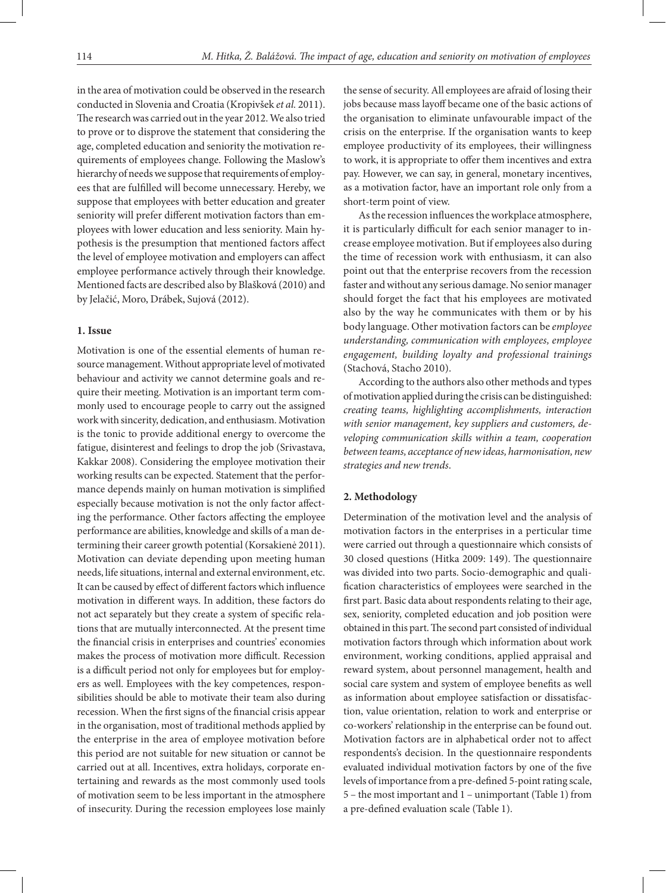in the area of motivation could be observed in the research conducted in Slovenia and Croatia (Kropivšek *et al.* 2011). The research was carried out in the year 2012. We also tried to prove or to disprove the statement that considering the age, completed education and seniority the motivation requirements of employees change. Following the Maslow's hierarchy of needs we suppose that requirements of employees that are fulfilled will become unnecessary. Hereby, we suppose that employees with better education and greater seniority will prefer different motivation factors than employees with lower education and less seniority. Main hypothesis is the presumption that mentioned factors affect the level of employee motivation and employers can affect employee performance actively through their knowledge. Mentioned facts are described also by Blašková (2010) and by Jelačić, Moro, Drábek, Sujová (2012).

## **1. Issue**

Motivation is one of the essential elements of human resource management. Without appropriate level of motivated behaviour and activity we cannot determine goals and require their meeting. Motivation is an important term commonly used to encourage people to carry out the assigned work with sincerity, dedication, and enthusiasm. Motivation is the tonic to provide additional energy to overcome the fatigue, disinterest and feelings to drop the job (Srivastava, Kakkar 2008). Considering the employee motivation their working results can be expected. Statement that the performance depends mainly on human motivation is simplified especially because motivation is not the only factor affecting the performance. Other factors affecting the employee performance are abilities, knowledge and skills of a man determining their career growth potential (Korsakienė 2011). Motivation can deviate depending upon meeting human needs, life situations, internal and external environment, etc. It can be caused by effect of different factors which influence motivation in different ways. In addition, these factors do not act separately but they create a system of specific relations that are mutually interconnected. At the present time the financial crisis in enterprises and countries' economies makes the process of motivation more difficult. Recession is a difficult period not only for employees but for employers as well. Employees with the key competences, responsibilities should be able to motivate their team also during recession. When the first signs of the financial crisis appear in the organisation, most of traditional methods applied by the enterprise in the area of employee motivation before this period are not suitable for new situation or cannot be carried out at all. Incentives, extra holidays, corporate entertaining and rewards as the most commonly used tools of motivation seem to be less important in the atmosphere of insecurity. During the recession employees lose mainly

the sense of security. All employees are afraid of losing their jobs because mass layoff became one of the basic actions of the organisation to eliminate unfavourable impact of the crisis on the enterprise. If the organisation wants to keep employee productivity of its employees, their willingness to work, it is appropriate to offer them incentives and extra pay. However, we can say, in general, monetary incentives, as a motivation factor, have an important role only from a short-term point of view.

As the recession influences the workplace atmosphere, it is particularly difficult for each senior manager to increase employee motivation. But if employees also during the time of recession work with enthusiasm, it can also point out that the enterprise recovers from the recession faster and without any serious damage. No senior manager should forget the fact that his employees are motivated also by the way he communicates with them or by his body language. Other motivation factors can be *employee understanding, communication with employees, employee engagement, building loyalty and professional trainings*  (Stachová, Stacho 2010).

According to the authors also other methods and types of motivation applied during the crisis can be distinguished: *creating teams, highlighting accomplishments, interaction with senior management, key suppliers and customers, developing communication skills within a team, cooperation between teams, acceptance of new ideas, harmonisation, new strategies and new trends*.

#### **2. Methodology**

Determination of the motivation level and the analysis of motivation factors in the enterprises in a perticular time were carried out through a questionnaire which consists of 30 closed questions (Hitka 2009: 149). The questionnaire was divided into two parts. Socio-demographic and qualification characteristics of employees were searched in the first part. Basic data about respondents relating to their age, sex, seniority, completed education and job position were obtained in this part. The second part consisted of individual motivation factors through which information about work environment, working conditions, applied appraisal and reward system, about personnel management, health and social care system and system of employee benefits as well as information about employee satisfaction or dissatisfaction, value orientation, relation to work and enterprise or co-workers' relationship in the enterprise can be found out. Motivation factors are in alphabetical order not to affect respondents's decision. In the questionnaire respondents evaluated individual motivation factors by one of the five levels of importance from a pre-defined 5-point rating scale, 5 – the most important and 1 – unimportant (Table 1) from a pre-defined evaluation scale (Table 1).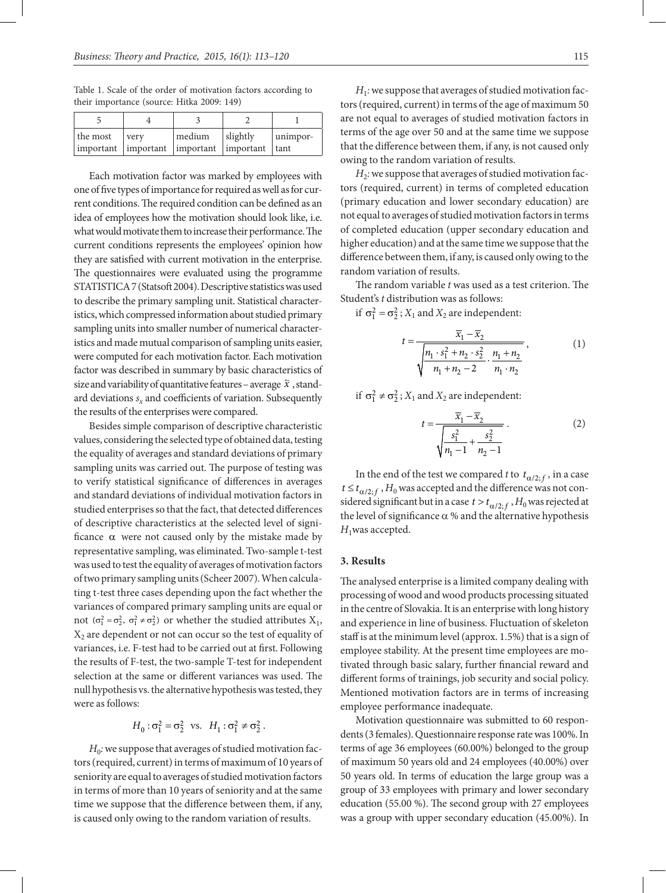Table 1. Scale of the order of motivation factors according to their importance (source: Hitka 2009: 149)

| the most                                          | verv | medium | slightly | unimpor- |
|---------------------------------------------------|------|--------|----------|----------|
| important  important  important  important   tant |      |        |          |          |

Each motivation factor was marked by employees with one of five types of importance for required as well as for current conditions. The required condition can be defined as an idea of employees how the motivation should look like, i.e. what would motivate them to increase their performance. The current conditions represents the employees' opinion how they are satisfied with current motivation in the enterprise. The questionnaires were evaluated using the programme STATISTICA 7 (Statsoft 2004). Descriptive statistics was used to describe the primary sampling unit. Statistical characteristics, which compressed information about studied primary sampling units into smaller number of numerical characteristics and made mutual comparison of sampling units easier, were computed for each motivation factor. Each motivation factor was described in summary by basic characteristics of size and variability of quantitative features – average  $\bar{x}$ , standard deviations  $s<sub>x</sub>$  and coefficients of variation. Subsequently the results of the enterprises were compared.

Besides simple comparison of descriptive characteristic values, considering the selected type of obtained data, testing the equality of averages and standard deviations of primary sampling units was carried out. The purpose of testing was to verify statistical significance of differences in averages and standard deviations of individual motivation factors in studied enterprises so that the fact, that detected differences of descriptive characteristics at the selected level of significance  $\alpha$  were not caused only by the mistake made by representative sampling, was eliminated. Two-sample t-test was used to test the equality of averages of motivation factors of two primary sampling units (Scheer 2007).When calculating t-test three cases depending upon the fact whether the variances of compared primary sampling units are equal or not  $(\sigma_1^2 = \sigma_2^2, \sigma_1^2 \neq \sigma_2^2)$  or whether the studied attributes  $X_1$ ,  $X_2$  are dependent or not can occur so the test of equality of variances, i.e. F-test had to be carried out at first. Following the results of F-test, the two-sample T-test for independent selection at the same or different variances was used. The null hypothesis vs. the alternative hypothesis was tested, they were as follows:

$$
H_0: \sigma_1^2 = \sigma_2^2 \text{ vs. } H_1: \sigma_1^2 \neq \sigma_2^2.
$$

*H*<sub>0</sub>: we suppose that averages of studied motivation factors (required, current) in terms of maximum of 10 years of seniority are equal to averages of studied motivation factors in terms of more than 10 years of seniority and at the same time we suppose that the difference between them, if any, is caused only owing to the random variation of results.

*H*1*:*we suppose that averages of studied motivation factors (required, current) in terms of the age of maximum 50 are not equal to averages of studied motivation factors in terms of the age over 50 and at the same time we suppose that the difference between them, if any, is not caused only owing to the random variation of results.

 $H_2$ : we suppose that averages of studied motivation factors (required, current) in terms of completed education (primary education and lower secondary education) are not equal to averages of studied motivation factors in terms of completed education (upper secondary education and higher education) and at the same time we suppose that the difference between them, if any, is caused only owing to the random variation of results.

The random variable *t* was used as a test criterion. The Student's *t* distribution was as follows:

if  $\sigma_1^2 = \sigma_2^2$ ; *X*<sub>1</sub> and *X*<sub>2</sub> are independent:

$$
t = \frac{\overline{x}_1 - \overline{x}_2}{\sqrt{\frac{n_1 \cdot s_1^2 + n_2 \cdot s_2^2}{n_1 + n_2 - 2} \cdot \frac{n_1 + n_2}{n_1 \cdot n_2}}},
$$
(1)

if  $\sigma_1^2 \neq \sigma_2^2$ ; *X*<sub>1</sub> and *X*<sub>2</sub> are independent:

$$
t = \frac{\overline{x}_1 - \overline{x}_2}{\sqrt{\frac{s_1^2}{n_1 - 1} + \frac{s_2^2}{n_2 - 1}}}.
$$
 (2)

In the end of the test we compared *t* to  $t_{\alpha/2; f}$ , in a case  $t \le t_{\alpha/2,f}$ ,  $H_0$  was accepted and the difference was not considered significant but in a case  $t > t_{\alpha/2; f}$ ,  $H_0$  was rejected at the level of significance  $\alpha$  % and the alternative hypothesis  $H_1$ was accepted.

#### **3. Results**

The analysed enterprise is a limited company dealing with processing of wood and wood products processing situated in the centre of Slovakia. It is an enterprise with long history and experience in line of business. Fluctuation of skeleton staff is at the minimum level (approx. 1.5%) that is a sign of employee stability. At the present time employees are motivated through basic salary, further financial reward and different forms of trainings, job security and social policy. Mentioned motivation factors are in terms of increasing employee performance inadequate.

Motivation questionnaire was submitted to 60 respondents (3 females). Questionnaire response rate was 100%. In terms of age 36 employees (60.00%) belonged to the group of maximum 50 years old and 24 employees (40.00%) over 50 years old. In terms of education the large group was a group of 33 employees with primary and lower secondary education (55.00 %). The second group with 27 employees was a group with upper secondary education (45.00%). In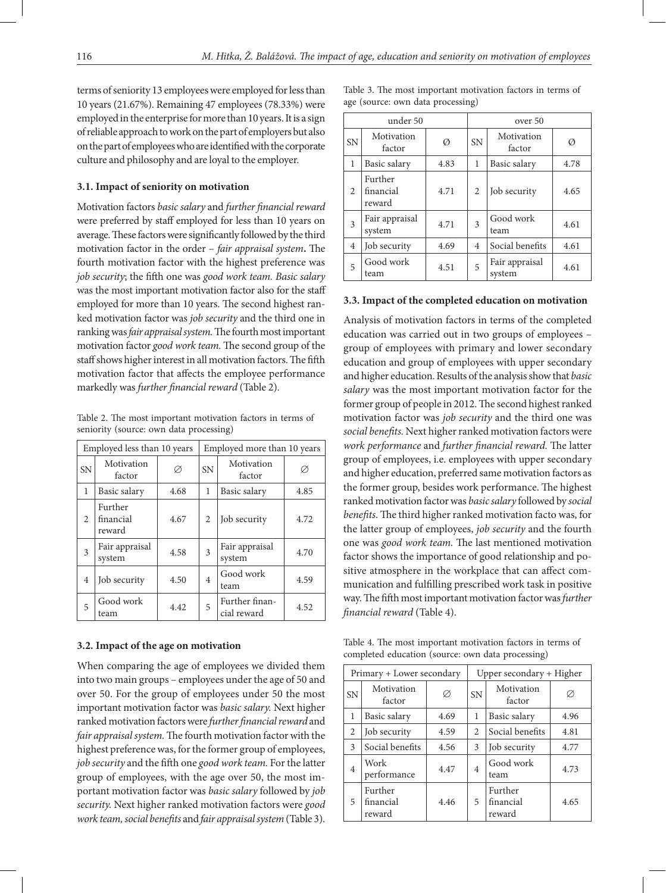terms of seniority 13 employees were employed for less than 10 years (21.67%). Remaining 47 employees (78.33%) were employed in the enterprise for more than 10 years. It is a sign of reliable approach to work on the part of employers but also on the part of employees who are identified with the corporate culture and philosophy and are loyal to the employer.

### **3.1. Impact of seniority on motivation**

Motivation factors *basic salary* and *further financial reward* were preferred by staff employed for less than 10 years on average. These factors were significantly followed by the third motivation factor in the order – *fair appraisal system***.** The fourth motivation factor with the highest preference was *job security*; the fifth one was *good work team. Basic salary*  was the most important motivation factor also for the staff employed for more than 10 years. The second highest ranked motivation factor was *job security* and the third one in ranking was *fair appraisal system*. The fourth most important motivation factor *good work team.* The second group of the staff shows higher interest in all motivation factors. The fifth motivation factor that affects the employee performance markedly was *further financial reward* (Table 2).

Table 2. The most important motivation factors in terms of seniority (source: own data processing)

| Employed less than 10 years |                                |      | Employed more than 10 years |                               |      |  |  |
|-----------------------------|--------------------------------|------|-----------------------------|-------------------------------|------|--|--|
| <b>SN</b>                   | Motivation<br>factor           | Ø    | <b>SN</b>                   | Motivation<br>factor          | Ø    |  |  |
| 1                           | Basic salary                   | 4.68 | 1                           | Basic salary                  | 4.85 |  |  |
| $\overline{c}$              | Further<br>financial<br>reward | 4.67 | $\overline{2}$              | Job security                  | 4.72 |  |  |
| 3                           | Fair appraisal<br>system       | 4.58 | 3                           | Fair appraisal<br>system      | 4.70 |  |  |
| 4                           | Job security                   | 4.50 | $\overline{4}$              | Good work<br>team             | 4.59 |  |  |
| 5                           | Good work<br>team              | 4.42 | 5                           | Further finan-<br>cial reward | 4.52 |  |  |

#### **3.2. Impact of the age on motivation**

When comparing the age of employees we divided them into two main groups – employees under the age of 50 and over 50. For the group of employees under 50 the most important motivation factor was *basic salary.* Next higher ranked motivation factors were *further financial reward* and *fair appraisal system.*The fourth motivation factor with the highest preference was, for the former group of employees, *job security* and the fifth one *good work team.* For the latter group of employees, with the age over 50, the most important motivation factor was *basic salary* followed by *job security.* Next higher ranked motivation factors were *good work team, social benefits* and *fair appraisal system*(Table 3).

Table 3. The most important motivation factors in terms of age (source: own data processing)

|           | under 50                       |      | over 50   |                          |      |  |  |
|-----------|--------------------------------|------|-----------|--------------------------|------|--|--|
| <b>SN</b> | Motivation<br>factor           | Ø    | <b>SN</b> | Motivation<br>factor     | Ø    |  |  |
| 1         | Basic salary                   | 4.83 | 1         | Basic salary             | 4.78 |  |  |
| 2         | Further<br>financial<br>reward | 4.71 | 2         | Job security             | 4.65 |  |  |
| 3         | Fair appraisal<br>system       | 4.71 | 3         | Good work<br>team        | 4.61 |  |  |
| 4         | Job security                   | 4.69 | 4         | Social benefits          | 4.61 |  |  |
| 5         | Good work<br>team              | 4.51 | 5         | Fair appraisal<br>system | 4.61 |  |  |

#### **3.3. Impact of the completed education on motivation**

Analysis of motivation factors in terms of the completed education was carried out in two groups of employees – group of employees with primary and lower secondary education and group of employees with upper secondary and higher education. Results of the analysis show that *basic salary* was the most important motivation factor for the former group of people in 2012. The second highest ranked motivation factor was *job security* and the third one was *social benefits.* Next higher ranked motivation factors were *work performance* and *further financial reward.* The latter group of employees, i.e. employees with upper secondary and higher education, preferred same motivation factors as the former group, besides work performance. The highest ranked motivation factor was *basic salary* followed by *social benefits.*The third higher ranked motivation facto was, for the latter group of employees, *job security* and the fourth one was *good work team.* The last mentioned motivation factor shows the importance of good relationship and positive atmosphere in the workplace that can affect communication and fulfilling prescribed work task in positive way. The fifth most important motivation factor was *further financial reward* (Table 4).

Table 4. The most important motivation factors in terms of completed education (source: own data processing)

| Primary + Lower secondary |                                |      | Upper secondary + Higher |                                |      |  |
|---------------------------|--------------------------------|------|--------------------------|--------------------------------|------|--|
| <b>SN</b>                 | Motivation<br>factor           | Ø    | <b>SN</b>                | Motivation<br>factor           | Ø    |  |
| 1                         | Basic salary                   | 4.69 | 1                        | Basic salary                   | 4.96 |  |
| 2                         | Job security                   | 4.59 | $\overline{2}$           | Social benefits                | 4.81 |  |
| 3                         | Social benefits                | 4.56 | 3                        | Job security                   | 4.77 |  |
| $\overline{4}$            | Work<br>performance            | 4.47 | 4                        | Good work<br>team              | 4.73 |  |
| 5                         | Further<br>financial<br>reward | 4.46 | 5                        | Further<br>financial<br>reward | 4.65 |  |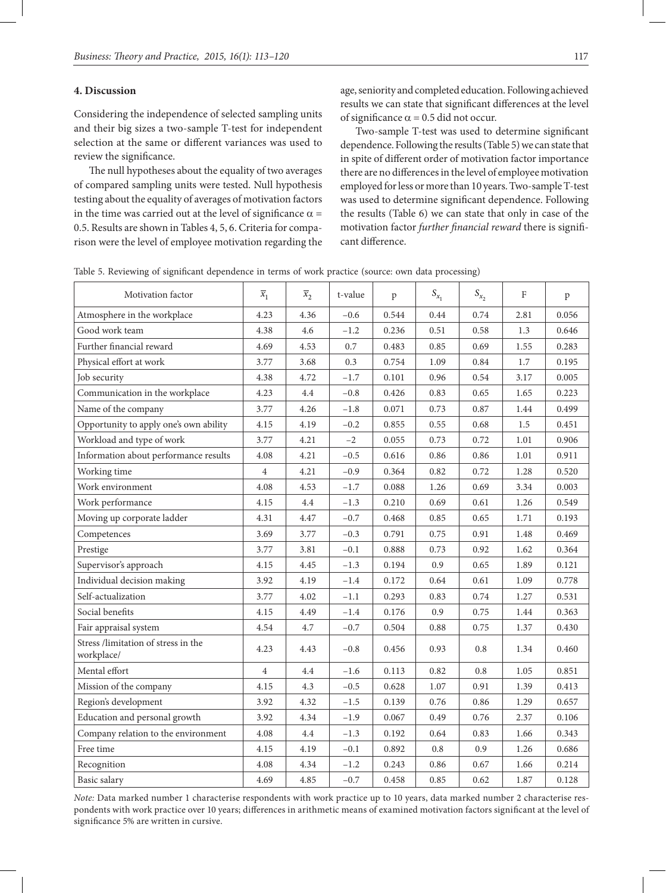#### **4. Discussion**

Considering the independence of selected sampling units and their big sizes a two-sample T-test for independent selection at the same or different variances was used to review the significance.

The null hypotheses about the equality of two averages of compared sampling units were tested. Null hypothesis testing about the equality of averages of motivation factors in the time was carried out at the level of significance  $\alpha$  = 0.5. Results are shown in Tables 4, 5, 6. Criteria for comparison were the level of employee motivation regarding the

age, seniority and completed education. Following achieved results we can state that significant differences at the level of significance  $\alpha$  = 0.5 did not occur.

Two-sample T-test was used to determine significant dependence. Following the results (Table 5) we can state that in spite of different order of motivation factor importance there are no differences in the level of employee motivation employed for less or more than 10 years. Two-sample T-test was used to determine significant dependence. Following the results (Table 6) we can state that only in case of the motivation factor *further financial reward* there is significant difference.

Table 5. Reviewing of significant dependence in terms of work practice (source: own data processing)

| Motivation factor                                 | $\overline{x}_1$ | $\overline{x}_2$ | t-value | p     | $S_{x_1}$ | $S_{x_2}$  | F    | $\, {\bf p}$ |
|---------------------------------------------------|------------------|------------------|---------|-------|-----------|------------|------|--------------|
| Atmosphere in the workplace                       | 4.23             | 4.36             | $-0.6$  | 0.544 | 0.44      | 0.74       | 2.81 | 0.056        |
| Good work team                                    | 4.38             | 4.6              | $-1.2$  | 0.236 | 0.51      | 0.58       | 1.3  | 0.646        |
| Further financial reward                          | 4.69             | 4.53             | 0.7     | 0.483 | 0.85      | 0.69       | 1.55 | 0.283        |
| Physical effort at work                           | 3.77             | 3.68             | 0.3     | 0.754 | 1.09      | $\rm 0.84$ | 1.7  | 0.195        |
| Job security                                      | 4.38             | 4.72             | $-1.7$  | 0.101 | 0.96      | 0.54       | 3.17 | 0.005        |
| Communication in the workplace                    | 4.23             | 4.4              | $-0.8$  | 0.426 | 0.83      | 0.65       | 1.65 | 0.223        |
| Name of the company                               | 3.77             | 4.26             | $-1.8$  | 0.071 | 0.73      | 0.87       | 1.44 | 0.499        |
| Opportunity to apply one's own ability            | 4.15             | 4.19             | $-0.2$  | 0.855 | 0.55      | 0.68       | 1.5  | 0.451        |
| Workload and type of work                         | 3.77             | 4.21             | $-2$    | 0.055 | 0.73      | 0.72       | 1.01 | 0.906        |
| Information about performance results             | 4.08             | 4.21             | $-0.5$  | 0.616 | 0.86      | 0.86       | 1.01 | 0.911        |
| Working time                                      | $\overline{4}$   | 4.21             | $-0.9$  | 0.364 | 0.82      | 0.72       | 1.28 | 0.520        |
| Work environment                                  | 4.08             | 4.53             | $-1.7$  | 0.088 | 1.26      | 0.69       | 3.34 | 0.003        |
| Work performance                                  | 4.15             | 4.4              | $-1.3$  | 0.210 | 0.69      | 0.61       | 1.26 | 0.549        |
| Moving up corporate ladder                        | 4.31             | 4.47             | $-0.7$  | 0.468 | 0.85      | 0.65       | 1.71 | 0.193        |
| Competences                                       | 3.69             | 3.77             | $-0.3$  | 0.791 | 0.75      | 0.91       | 1.48 | 0.469        |
| Prestige                                          | 3.77             | 3.81             | $-0.1$  | 0.888 | 0.73      | 0.92       | 1.62 | 0.364        |
| Supervisor's approach                             | 4.15             | 4.45             | $-1.3$  | 0.194 | 0.9       | 0.65       | 1.89 | 0.121        |
| Individual decision making                        | 3.92             | 4.19             | $-1.4$  | 0.172 | 0.64      | 0.61       | 1.09 | 0.778        |
| Self-actualization                                | 3.77             | 4.02             | $-1.1$  | 0.293 | 0.83      | 0.74       | 1.27 | 0.531        |
| Social benefits                                   | 4.15             | 4.49             | $-1.4$  | 0.176 | 0.9       | 0.75       | 1.44 | 0.363        |
| Fair appraisal system                             | 4.54             | 4.7              | $-0.7$  | 0.504 | 0.88      | 0.75       | 1.37 | 0.430        |
| Stress /limitation of stress in the<br>workplace/ | 4.23             | 4.43             | $-0.8$  | 0.456 | 0.93      | $0.8\,$    | 1.34 | 0.460        |
| Mental effort                                     | $\overline{4}$   | 4.4              | $-1.6$  | 0.113 | 0.82      | 0.8        | 1.05 | 0.851        |
| Mission of the company                            | 4.15             | 4.3              | $-0.5$  | 0.628 | 1.07      | 0.91       | 1.39 | 0.413        |
| Region's development                              | 3.92             | 4.32             | $-1.5$  | 0.139 | 0.76      | 0.86       | 1.29 | 0.657        |
| Education and personal growth                     | 3.92             | 4.34             | $-1.9$  | 0.067 | 0.49      | 0.76       | 2.37 | 0.106        |
| Company relation to the environment               | 4.08             | 4.4              | $-1.3$  | 0.192 | 0.64      | 0.83       | 1.66 | 0.343        |
| Free time                                         | 4.15             | 4.19             | $-0.1$  | 0.892 | $0.8\,$   | 0.9        | 1.26 | 0.686        |
| Recognition                                       | 4.08             | 4.34             | $-1.2$  | 0.243 | 0.86      | 0.67       | 1.66 | 0.214        |
| Basic salary                                      | 4.69             | 4.85             | $-0.7$  | 0.458 | 0.85      | 0.62       | 1.87 | 0.128        |

*Note:* Data marked number 1 characterise respondents with work practice up to 10 years, data marked number 2 characterise respondents with work practice over 10 years; differences in arithmetic means of examined motivation factors significant at the level of significance 5% are written in cursive.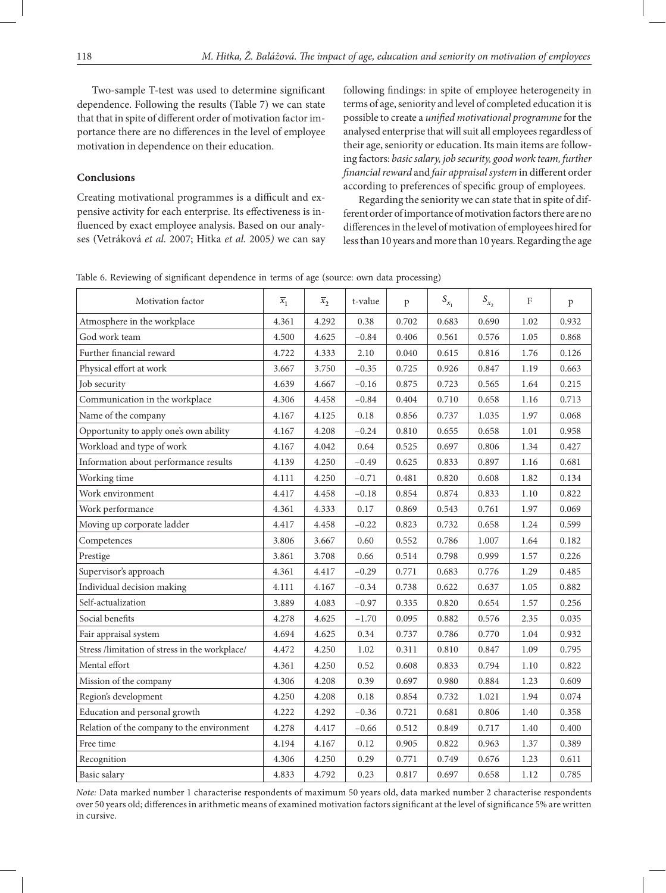Two-sample T-test was used to determine significant dependence. Following the results (Table 7) we can state that that in spite of different order of motivation factor importance there are no differences in the level of employee motivation in dependence on their education.

### **Conclusions**

Creating motivational programmes is a difficult and expensive activity for each enterprise. Its effectiveness is influenced by exact employee analysis. Based on our analyses (Vetráková *et al.* 2007; Hitka *et al.* 2005*)* we can say

following findings: in spite of employee heterogeneity in terms of age, seniority and level of completed education it is possible to create a *unified motivational programme* for the analysed enterprise that will suit all employees regardless of their age, seniority or education. Its main items are following factors: *basic salary, job security, good work team, further financial reward* and *fair appraisal system* in different order according to preferences of specific group of employees.

Regarding the seniority we can state that in spite of different order of importance of motivation factors there are no differences in the level of motivation of employees hired for less than 10 years and more than 10 years. Regarding the age

Table 6. Reviewing of significant dependence in terms of age (source: own data processing)

| Motivation factor                              | $\overline{x}_1$ | $\overline{x}_2$ | t-value | p     | $S_{x_1}$ | $S_{x_2}$ | F    | $\, {\bf p}$ |
|------------------------------------------------|------------------|------------------|---------|-------|-----------|-----------|------|--------------|
| Atmosphere in the workplace                    | 4.361            | 4.292            | 0.38    | 0.702 | 0.683     | 0.690     | 1.02 | 0.932        |
| God work team                                  | 4.500            | 4.625            | $-0.84$ | 0.406 | 0.561     | 0.576     | 1.05 | 0.868        |
| Further financial reward                       | 4.722            | 4.333            | 2.10    | 0.040 | 0.615     | 0.816     | 1.76 | 0.126        |
| Physical effort at work                        | 3.667            | 3.750            | $-0.35$ | 0.725 | 0.926     | 0.847     | 1.19 | 0.663        |
| Job security                                   | 4.639            | 4.667            | $-0.16$ | 0.875 | 0.723     | 0.565     | 1.64 | 0.215        |
| Communication in the workplace                 | 4.306            | 4.458            | $-0.84$ | 0.404 | 0.710     | 0.658     | 1.16 | 0.713        |
| Name of the company                            | 4.167            | 4.125            | 0.18    | 0.856 | 0.737     | 1.035     | 1.97 | 0.068        |
| Opportunity to apply one's own ability         | 4.167            | 4.208            | $-0.24$ | 0.810 | 0.655     | 0.658     | 1.01 | 0.958        |
| Workload and type of work                      | 4.167            | 4.042            | 0.64    | 0.525 | 0.697     | 0.806     | 1.34 | 0.427        |
| Information about performance results          | 4.139            | 4.250            | $-0.49$ | 0.625 | 0.833     | 0.897     | 1.16 | 0.681        |
| Working time                                   | 4.111            | 4.250            | $-0.71$ | 0.481 | 0.820     | 0.608     | 1.82 | 0.134        |
| Work environment                               | 4.417            | 4.458            | $-0.18$ | 0.854 | 0.874     | 0.833     | 1.10 | 0.822        |
| Work performance                               | 4.361            | 4.333            | 0.17    | 0.869 | 0.543     | 0.761     | 1.97 | 0.069        |
| Moving up corporate ladder                     | 4.417            | 4.458            | $-0.22$ | 0.823 | 0.732     | 0.658     | 1.24 | 0.599        |
| Competences                                    | 3.806            | 3.667            | 0.60    | 0.552 | 0.786     | 1.007     | 1.64 | 0.182        |
| Prestige                                       | 3.861            | 3.708            | 0.66    | 0.514 | 0.798     | 0.999     | 1.57 | 0.226        |
| Supervisor's approach                          | 4.361            | 4.417            | $-0.29$ | 0.771 | 0.683     | 0.776     | 1.29 | 0.485        |
| Individual decision making                     | 4.111            | 4.167            | $-0.34$ | 0.738 | 0.622     | 0.637     | 1.05 | 0.882        |
| Self-actualization                             | 3.889            | 4.083            | $-0.97$ | 0.335 | 0.820     | 0.654     | 1.57 | 0.256        |
| Social benefits                                | 4.278            | 4.625            | $-1.70$ | 0.095 | 0.882     | 0.576     | 2.35 | 0.035        |
| Fair appraisal system                          | 4.694            | 4.625            | 0.34    | 0.737 | 0.786     | 0.770     | 1.04 | 0.932        |
| Stress /limitation of stress in the workplace/ | 4.472            | 4.250            | 1.02    | 0.311 | 0.810     | 0.847     | 1.09 | 0.795        |
| Mental effort                                  | 4.361            | 4.250            | 0.52    | 0.608 | 0.833     | 0.794     | 1.10 | 0.822        |
| Mission of the company                         | 4.306            | 4.208            | 0.39    | 0.697 | 0.980     | 0.884     | 1.23 | 0.609        |
| Region's development                           | 4.250            | 4.208            | 0.18    | 0.854 | 0.732     | 1.021     | 1.94 | 0.074        |
| Education and personal growth                  | 4.222            | 4.292            | $-0.36$ | 0.721 | 0.681     | 0.806     | 1.40 | 0.358        |
| Relation of the company to the environment     | 4.278            | 4.417            | $-0.66$ | 0.512 | 0.849     | 0.717     | 1.40 | 0.400        |
| Free time                                      | 4.194            | 4.167            | 0.12    | 0.905 | 0.822     | 0.963     | 1.37 | 0.389        |
| Recognition                                    | 4.306            | 4.250            | 0.29    | 0.771 | 0.749     | 0.676     | 1.23 | 0.611        |
| Basic salary                                   | 4.833            | 4.792            | 0.23    | 0.817 | 0.697     | 0.658     | 1.12 | 0.785        |

*Note:* Data marked number 1 characterise respondents of maximum 50 years old, data marked number 2 characterise respondents over 50 years old; differences in arithmetic means of examined motivation factors significant at the level of significance 5% are written in cursive.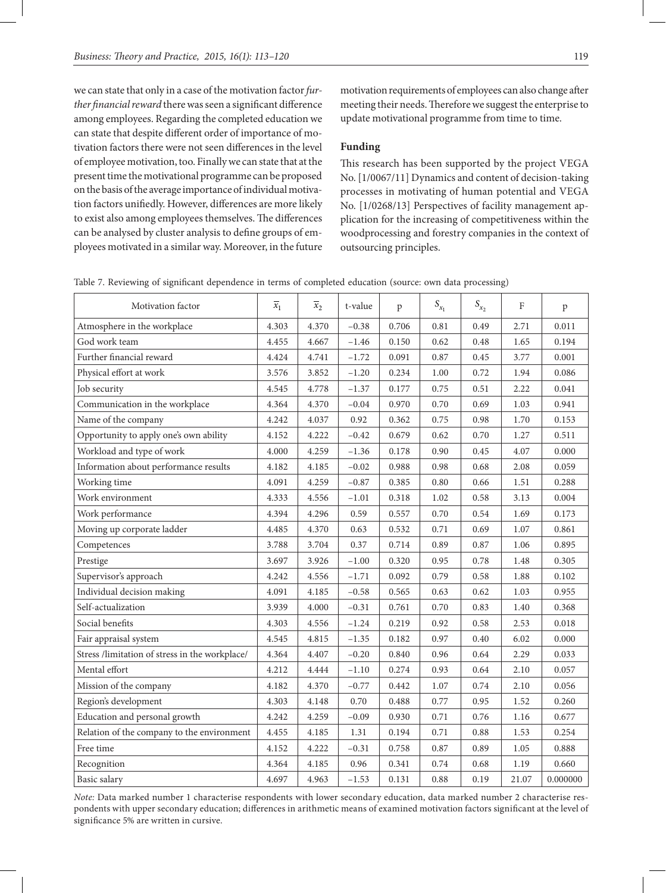we can state that only in a case of the motivation factor *further financial reward* there was seen a significant difference among employees. Regarding the completed education we can state that despite different order of importance of motivation factors there were not seen differences in the level of employee motivation, too. Finally we can state that at the present time the motivational programme can be proposed on the basis of the average importance of individual motivation factors unifiedly. However, differences are more likely to exist also among employees themselves. The differences can be analysed by cluster analysis to define groups of employees motivated in a similar way. Moreover, in the future

motivation requirements of employees can also change after meeting their needs. Therefore we suggest the enterprise to update motivational programme from time to time.

## **Funding**

This research has been supported by the project VEGA No. [1/0067/11] Dynamics and content of decision-taking processes in motivating of human potential and VEGA No. [1/0268/13] Perspectives of facility management application for the increasing of competitiveness within the woodprocessing and forestry companies in the context of outsourcing principles.

| Table 7. Reviewing of significant dependence in terms of completed education (source: own data processing) |
|------------------------------------------------------------------------------------------------------------|
|------------------------------------------------------------------------------------------------------------|

| Motivation factor                              | $\overline{x}_1$ | $\overline{x}_2$ | t-value | $\mathbf{p}$ | $S_{x_1}$ | $S_{x_2}$ | $\mathbf{F}$ | p        |
|------------------------------------------------|------------------|------------------|---------|--------------|-----------|-----------|--------------|----------|
| Atmosphere in the workplace                    | 4.303            | 4.370            | $-0.38$ | 0.706        | 0.81      | 0.49      | 2.71         | 0.011    |
| God work team                                  | 4.455            | 4.667            | $-1.46$ | 0.150        | 0.62      | 0.48      | 1.65         | 0.194    |
| Further financial reward                       | 4.424            | 4.741            | $-1.72$ | 0.091        | 0.87      | 0.45      | 3.77         | 0.001    |
| Physical effort at work                        | 3.576            | 3.852            | $-1.20$ | 0.234        | 1.00      | 0.72      | 1.94         | 0.086    |
| Job security                                   | 4.545            | 4.778            | $-1.37$ | 0.177        | 0.75      | 0.51      | 2.22         | 0.041    |
| Communication in the workplace                 | 4.364            | 4.370            | $-0.04$ | 0.970        | 0.70      | 0.69      | 1.03         | 0.941    |
| Name of the company                            | 4.242            | 4.037            | 0.92    | 0.362        | 0.75      | 0.98      | 1.70         | 0.153    |
| Opportunity to apply one's own ability         | 4.152            | 4.222            | $-0.42$ | 0.679        | 0.62      | 0.70      | 1.27         | 0.511    |
| Workload and type of work                      | 4.000            | 4.259            | $-1.36$ | 0.178        | 0.90      | 0.45      | 4.07         | 0.000    |
| Information about performance results          | 4.182            | 4.185            | $-0.02$ | 0.988        | 0.98      | 0.68      | 2.08         | 0.059    |
| Working time                                   | 4.091            | 4.259            | $-0.87$ | 0.385        | 0.80      | 0.66      | 1.51         | 0.288    |
| Work environment                               | 4.333            | 4.556            | $-1.01$ | 0.318        | 1.02      | 0.58      | 3.13         | 0.004    |
| Work performance                               | 4.394            | 4.296            | 0.59    | 0.557        | 0.70      | 0.54      | 1.69         | 0.173    |
| Moving up corporate ladder                     | 4.485            | 4.370            | 0.63    | 0.532        | 0.71      | 0.69      | $1.07\,$     | 0.861    |
| Competences                                    | 3.788            | 3.704            | 0.37    | 0.714        | 0.89      | 0.87      | 1.06         | 0.895    |
| Prestige                                       | 3.697            | 3.926            | $-1.00$ | 0.320        | 0.95      | 0.78      | 1.48         | 0.305    |
| Supervisor's approach                          | 4.242            | 4.556            | $-1.71$ | 0.092        | 0.79      | 0.58      | 1.88         | 0.102    |
| Individual decision making                     | 4.091            | 4.185            | $-0.58$ | 0.565        | 0.63      | 0.62      | 1.03         | 0.955    |
| Self-actualization                             | 3.939            | 4.000            | $-0.31$ | 0.761        | 0.70      | 0.83      | 1.40         | 0.368    |
| Social benefits                                | 4.303            | 4.556            | $-1.24$ | 0.219        | 0.92      | 0.58      | 2.53         | 0.018    |
| Fair appraisal system                          | 4.545            | 4.815            | $-1.35$ | 0.182        | 0.97      | 0.40      | 6.02         | 0.000    |
| Stress /limitation of stress in the workplace/ | 4.364            | 4.407            | $-0.20$ | 0.840        | 0.96      | 0.64      | 2.29         | 0.033    |
| Mental effort                                  | 4.212            | 4.444            | $-1.10$ | 0.274        | 0.93      | 0.64      | 2.10         | 0.057    |
| Mission of the company                         | 4.182            | 4.370            | $-0.77$ | 0.442        | $1.07\,$  | 0.74      | 2.10         | 0.056    |
| Region's development                           | 4.303            | 4.148            | 0.70    | 0.488        | 0.77      | 0.95      | 1.52         | 0.260    |
| Education and personal growth                  | 4.242            | 4.259            | $-0.09$ | 0.930        | 0.71      | 0.76      | 1.16         | 0.677    |
| Relation of the company to the environment     | 4.455            | 4.185            | 1.31    | 0.194        | 0.71      | 0.88      | 1.53         | 0.254    |
| Free time                                      | 4.152            | 4.222            | $-0.31$ | 0.758        | 0.87      | 0.89      | 1.05         | 0.888    |
| Recognition                                    | 4.364            | 4.185            | 0.96    | 0.341        | 0.74      | 0.68      | 1.19         | 0.660    |
| Basic salary                                   | 4.697            | 4.963            | $-1.53$ | 0.131        | 0.88      | 0.19      | 21.07        | 0.000000 |

*Note:* Data marked number 1 characterise respondents with lower secondary education, data marked number 2 characterise respondents with upper secondary education; differences in arithmetic means of examined motivation factors significant at the level of significance 5% are written in cursive.